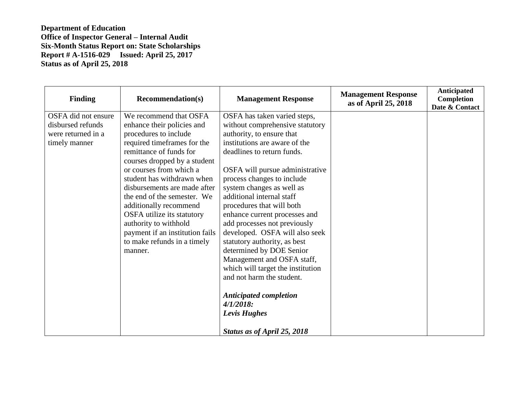| <b>Finding</b>      | <b>Recommendation(s)</b>        | <b>Management Response</b>        | <b>Management Response</b><br>as of April 25, 2018 | Anticipated<br>Completion<br>Date & Contact |
|---------------------|---------------------------------|-----------------------------------|----------------------------------------------------|---------------------------------------------|
| OSFA did not ensure | We recommend that OSFA          | OSFA has taken varied steps,      |                                                    |                                             |
| disbursed refunds   | enhance their policies and      | without comprehensive statutory   |                                                    |                                             |
| were returned in a  | procedures to include           | authority, to ensure that         |                                                    |                                             |
| timely manner       | required timeframes for the     | institutions are aware of the     |                                                    |                                             |
|                     | remittance of funds for         | deadlines to return funds.        |                                                    |                                             |
|                     | courses dropped by a student    |                                   |                                                    |                                             |
|                     | or courses from which a         | OSFA will pursue administrative   |                                                    |                                             |
|                     | student has withdrawn when      | process changes to include        |                                                    |                                             |
|                     | disbursements are made after    | system changes as well as         |                                                    |                                             |
|                     | the end of the semester. We     | additional internal staff         |                                                    |                                             |
|                     | additionally recommend          | procedures that will both         |                                                    |                                             |
|                     | OSFA utilize its statutory      | enhance current processes and     |                                                    |                                             |
|                     | authority to withhold           | add processes not previously      |                                                    |                                             |
|                     | payment if an institution fails | developed. OSFA will also seek    |                                                    |                                             |
|                     | to make refunds in a timely     | statutory authority, as best      |                                                    |                                             |
|                     | manner.                         | determined by DOE Senior          |                                                    |                                             |
|                     |                                 | Management and OSFA staff,        |                                                    |                                             |
|                     |                                 | which will target the institution |                                                    |                                             |
|                     |                                 | and not harm the student.         |                                                    |                                             |
|                     |                                 | <b>Anticipated completion</b>     |                                                    |                                             |
|                     |                                 | $4/1/2018$ :                      |                                                    |                                             |
|                     |                                 | <b>Levis Hughes</b>               |                                                    |                                             |
|                     |                                 | Status as of April 25, 2018       |                                                    |                                             |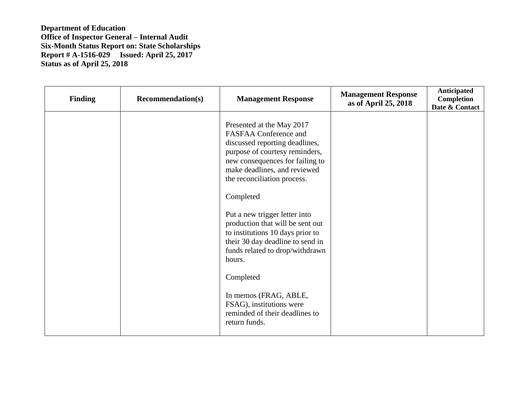| <b>Finding</b> | <b>Recommendation(s)</b> | <b>Management Response</b>                                                                                                                                                                                                                                                                                                                                                                                                                                                                                                                           | <b>Management Response</b><br>as of April 25, 2018 | Anticipated<br><b>Completion</b><br>Date & Contact |
|----------------|--------------------------|------------------------------------------------------------------------------------------------------------------------------------------------------------------------------------------------------------------------------------------------------------------------------------------------------------------------------------------------------------------------------------------------------------------------------------------------------------------------------------------------------------------------------------------------------|----------------------------------------------------|----------------------------------------------------|
|                |                          | Presented at the May 2017<br>FASFAA Conference and<br>discussed reporting deadlines,<br>purpose of courtesy reminders,<br>new consequences for failing to<br>make deadlines, and reviewed<br>the reconciliation process.<br>Completed<br>Put a new trigger letter into<br>production that will be sent out<br>to institutions 10 days prior to<br>their 30 day deadline to send in<br>funds related to drop/withdrawn<br>hours.<br>Completed<br>In memos (FRAG, ABLE,<br>FSAG), institutions were<br>reminded of their deadlines to<br>return funds. |                                                    |                                                    |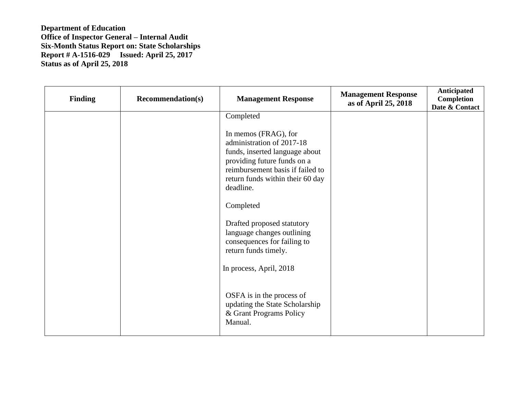| <b>Finding</b> | <b>Recommendation(s)</b> | <b>Management Response</b>                                                                                                                                                                              | <b>Management Response</b><br>as of April 25, 2018 | Anticipated<br><b>Completion</b><br>Date & Contact |
|----------------|--------------------------|---------------------------------------------------------------------------------------------------------------------------------------------------------------------------------------------------------|----------------------------------------------------|----------------------------------------------------|
|                |                          | Completed                                                                                                                                                                                               |                                                    |                                                    |
|                |                          | In memos (FRAG), for<br>administration of 2017-18<br>funds, inserted language about<br>providing future funds on a<br>reimbursement basis if failed to<br>return funds within their 60 day<br>deadline. |                                                    |                                                    |
|                |                          | Completed                                                                                                                                                                                               |                                                    |                                                    |
|                |                          | Drafted proposed statutory<br>language changes outlining<br>consequences for failing to<br>return funds timely.                                                                                         |                                                    |                                                    |
|                |                          | In process, April, 2018                                                                                                                                                                                 |                                                    |                                                    |
|                |                          | OSFA is in the process of<br>updating the State Scholarship<br>& Grant Programs Policy<br>Manual.                                                                                                       |                                                    |                                                    |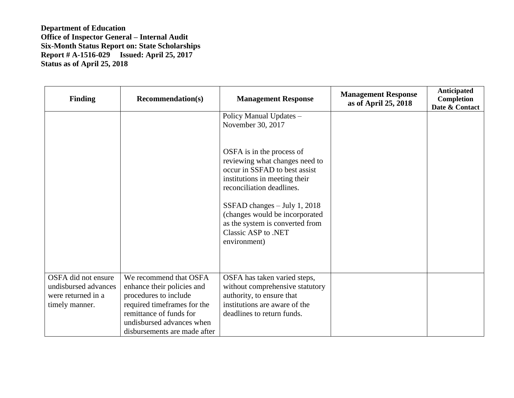| <b>Finding</b>                                                                      | <b>Recommendation(s)</b>                                                                                                                                                                             | <b>Management Response</b>                                                                                                                                                                                                                                                                               | <b>Management Response</b><br>as of April 25, 2018 | Anticipated<br>Completion<br>Date & Contact |
|-------------------------------------------------------------------------------------|------------------------------------------------------------------------------------------------------------------------------------------------------------------------------------------------------|----------------------------------------------------------------------------------------------------------------------------------------------------------------------------------------------------------------------------------------------------------------------------------------------------------|----------------------------------------------------|---------------------------------------------|
|                                                                                     |                                                                                                                                                                                                      | Policy Manual Updates -<br>November 30, 2017                                                                                                                                                                                                                                                             |                                                    |                                             |
|                                                                                     |                                                                                                                                                                                                      | OSFA is in the process of<br>reviewing what changes need to<br>occur in SSFAD to best assist<br>institutions in meeting their<br>reconciliation deadlines.<br>SSFAD changes $-$ July 1, 2018<br>(changes would be incorporated<br>as the system is converted from<br>Classic ASP to .NET<br>environment) |                                                    |                                             |
| OSFA did not ensure<br>undisbursed advances<br>were returned in a<br>timely manner. | We recommend that OSFA<br>enhance their policies and<br>procedures to include<br>required timeframes for the<br>remittance of funds for<br>undisbursed advances when<br>disbursements are made after | OSFA has taken varied steps,<br>without comprehensive statutory<br>authority, to ensure that<br>institutions are aware of the<br>deadlines to return funds.                                                                                                                                              |                                                    |                                             |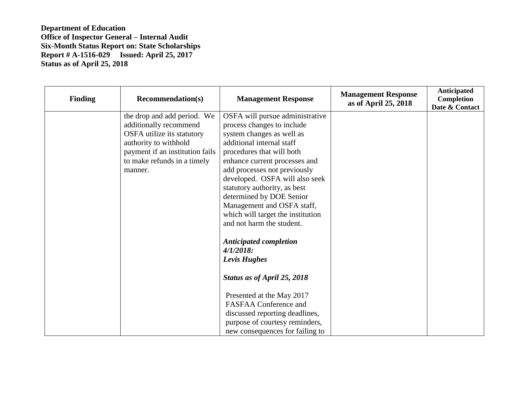| <b>Finding</b> | <b>Recommendation(s)</b>        | <b>Management Response</b>        | <b>Management Response</b><br>as of April 25, 2018 | Anticipated<br>Completion<br>Date & Contact |
|----------------|---------------------------------|-----------------------------------|----------------------------------------------------|---------------------------------------------|
|                | the drop and add period. We     | OSFA will pursue administrative   |                                                    |                                             |
|                | additionally recommend          | process changes to include        |                                                    |                                             |
|                | OSFA utilize its statutory      | system changes as well as         |                                                    |                                             |
|                | authority to withhold           | additional internal staff         |                                                    |                                             |
|                | payment if an institution fails | procedures that will both         |                                                    |                                             |
|                | to make refunds in a timely     | enhance current processes and     |                                                    |                                             |
|                | manner.                         | add processes not previously      |                                                    |                                             |
|                |                                 | developed. OSFA will also seek    |                                                    |                                             |
|                |                                 | statutory authority, as best      |                                                    |                                             |
|                |                                 | determined by DOE Senior          |                                                    |                                             |
|                |                                 | Management and OSFA staff,        |                                                    |                                             |
|                |                                 | which will target the institution |                                                    |                                             |
|                |                                 | and not harm the student.         |                                                    |                                             |
|                |                                 | <b>Anticipated completion</b>     |                                                    |                                             |
|                |                                 | $4/1/2018$ :                      |                                                    |                                             |
|                |                                 | <b>Levis Hughes</b>               |                                                    |                                             |
|                |                                 | Status as of April 25, 2018       |                                                    |                                             |
|                |                                 | Presented at the May 2017         |                                                    |                                             |
|                |                                 | <b>FASFAA Conference and</b>      |                                                    |                                             |
|                |                                 | discussed reporting deadlines,    |                                                    |                                             |
|                |                                 | purpose of courtesy reminders,    |                                                    |                                             |
|                |                                 | new consequences for failing to   |                                                    |                                             |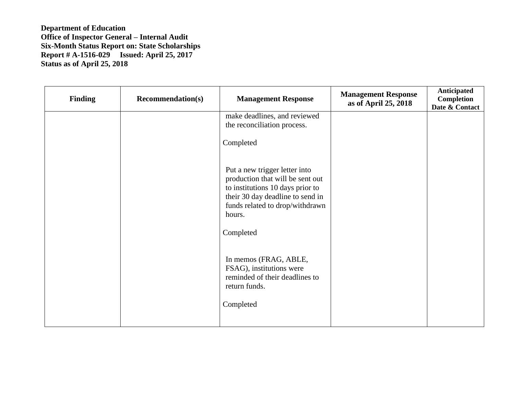| <b>Finding</b> | <b>Recommendation(s)</b> | <b>Management Response</b>                                                                                                                                                                          | <b>Management Response</b><br>as of April 25, 2018 | Anticipated<br>Completion<br>Date & Contact |
|----------------|--------------------------|-----------------------------------------------------------------------------------------------------------------------------------------------------------------------------------------------------|----------------------------------------------------|---------------------------------------------|
|                |                          | make deadlines, and reviewed<br>the reconciliation process.                                                                                                                                         |                                                    |                                             |
|                |                          | Completed                                                                                                                                                                                           |                                                    |                                             |
|                |                          | Put a new trigger letter into<br>production that will be sent out<br>to institutions 10 days prior to<br>their 30 day deadline to send in<br>funds related to drop/withdrawn<br>hours.<br>Completed |                                                    |                                             |
|                |                          | In memos (FRAG, ABLE,<br>FSAG), institutions were<br>reminded of their deadlines to<br>return funds.<br>Completed                                                                                   |                                                    |                                             |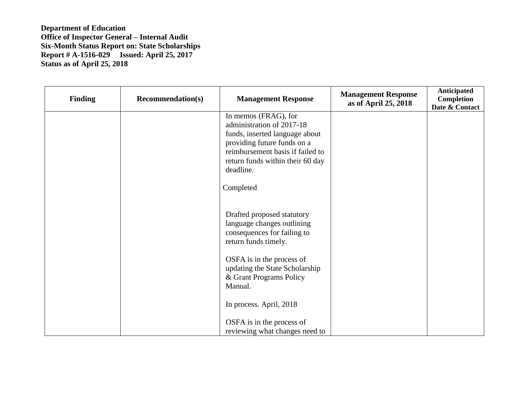| <b>Finding</b> | <b>Recommendation(s)</b> | <b>Management Response</b>                                                                                                                                                                                           | <b>Management Response</b><br>as of April 25, 2018 | Anticipated<br>Completion<br>Date & Contact |
|----------------|--------------------------|----------------------------------------------------------------------------------------------------------------------------------------------------------------------------------------------------------------------|----------------------------------------------------|---------------------------------------------|
|                |                          | In memos (FRAG), for<br>administration of 2017-18<br>funds, inserted language about<br>providing future funds on a<br>reimbursement basis if failed to<br>return funds within their 60 day<br>deadline.<br>Completed |                                                    |                                             |
|                |                          | Drafted proposed statutory<br>language changes outlining<br>consequences for failing to<br>return funds timely.                                                                                                      |                                                    |                                             |
|                |                          | OSFA is in the process of<br>updating the State Scholarship<br>& Grant Programs Policy<br>Manual.                                                                                                                    |                                                    |                                             |
|                |                          | In process. April, 2018<br>OSFA is in the process of<br>reviewing what changes need to                                                                                                                               |                                                    |                                             |